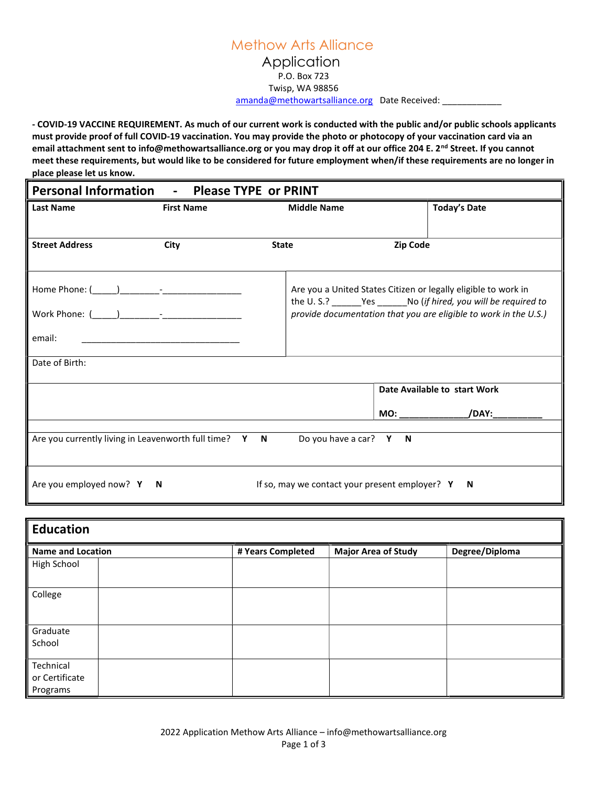## Methow Arts Alliance Application P.O. Box 723 Twisp, WA 98856

amanda@methowartsalliance.org Date Received: \_\_\_\_\_\_\_\_\_\_\_\_\_\_\_\_\_\_\_\_\_\_\_\_\_\_\_\_\_\_\_\_\_\_\_

- COVID-19 VACCINE REQUIREMENT. As much of our current work is conducted with the public and/or public schools applicants must provide proof of full COVID-19 vaccination. You may provide the photo or photocopy of your vaccination card via an email attachment sent to info@methowartsalliance.org or you may drop it off at our office 204 E. 2<sup>nd</sup> Street. If you cannot meet these requirements, but would like to be considered for future employment when/if these requirements are no longer in place please let us know.

| Personal Information - Please TYPE or PRINT                                                     |                   |              |                                                                  |  |                              |  |
|-------------------------------------------------------------------------------------------------|-------------------|--------------|------------------------------------------------------------------|--|------------------------------|--|
| <b>Last Name</b>                                                                                | <b>First Name</b> |              | <b>Middle Name</b>                                               |  | <b>Today's Date</b>          |  |
|                                                                                                 |                   |              |                                                                  |  |                              |  |
| <b>Street Address</b>                                                                           | City              | <b>State</b> |                                                                  |  | Zip Code                     |  |
|                                                                                                 |                   |              |                                                                  |  |                              |  |
|                                                                                                 |                   |              | Are you a United States Citizen or legally eligible to work in   |  |                              |  |
|                                                                                                 |                   |              | provide documentation that you are eligible to work in the U.S.) |  |                              |  |
| email:                                                                                          |                   |              |                                                                  |  |                              |  |
| Date of Birth:                                                                                  |                   |              |                                                                  |  |                              |  |
|                                                                                                 |                   |              |                                                                  |  | Date Available to start Work |  |
|                                                                                                 |                   |              |                                                                  |  |                              |  |
|                                                                                                 |                   |              |                                                                  |  |                              |  |
| Are you currently living in Leavenworth full time? Y N                                          |                   |              | Do you have a car? $Y \tN$                                       |  |                              |  |
| Are you employed now? $Y \times N$<br>If so, may we contact your present employer? $Y \times N$ |                   |              |                                                                  |  |                              |  |

| <b>Education</b>         |  |                                                 |  |                |  |  |
|--------------------------|--|-------------------------------------------------|--|----------------|--|--|
| <b>Name and Location</b> |  | <b>Major Area of Study</b><br># Years Completed |  | Degree/Diploma |  |  |
| High School              |  |                                                 |  |                |  |  |
| College                  |  |                                                 |  |                |  |  |
| Graduate                 |  |                                                 |  |                |  |  |
| School                   |  |                                                 |  |                |  |  |
| Technical                |  |                                                 |  |                |  |  |
| or Certificate           |  |                                                 |  |                |  |  |
| Programs                 |  |                                                 |  |                |  |  |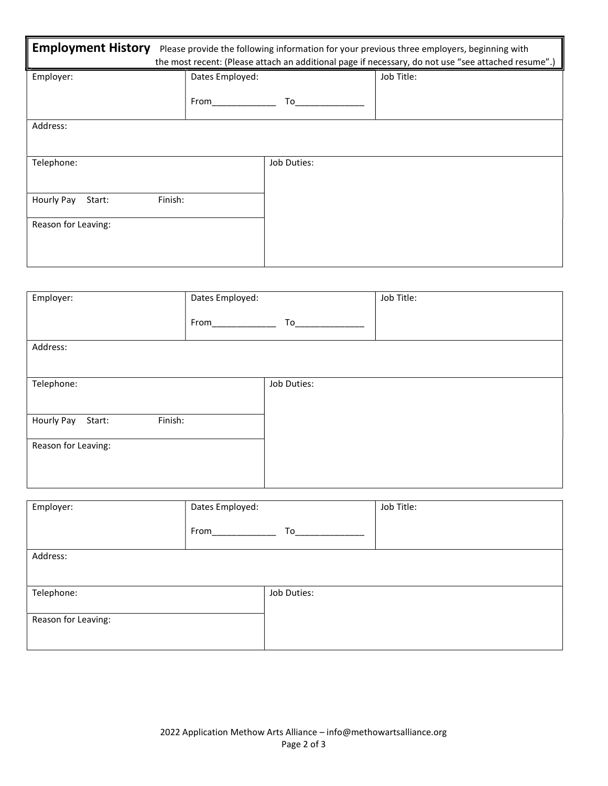| <b>Employment History</b>       | Please provide the following information for your previous three employers, beginning with<br>the most recent: (Please attach an additional page if necessary, do not use "see attached resume".) |             |            |  |  |
|---------------------------------|---------------------------------------------------------------------------------------------------------------------------------------------------------------------------------------------------|-------------|------------|--|--|
| Employer:                       | Dates Employed:                                                                                                                                                                                   |             | Job Title: |  |  |
|                                 | From                                                                                                                                                                                              | To          |            |  |  |
| Address:                        |                                                                                                                                                                                                   |             |            |  |  |
| Telephone:                      |                                                                                                                                                                                                   | Job Duties: |            |  |  |
| Finish:<br>Hourly Pay<br>Start: |                                                                                                                                                                                                   |             |            |  |  |
| Reason for Leaving:             |                                                                                                                                                                                                   |             |            |  |  |

| Employer:                       | Dates Employed: |             | Job Title: |  |
|---------------------------------|-----------------|-------------|------------|--|
|                                 | From            | To          |            |  |
| Address:                        |                 |             |            |  |
|                                 |                 |             |            |  |
| Telephone:                      |                 | Job Duties: |            |  |
|                                 |                 |             |            |  |
| Finish:<br>Hourly Pay<br>Start: |                 |             |            |  |
| Reason for Leaving:             |                 |             |            |  |
|                                 |                 |             |            |  |
|                                 |                 |             |            |  |

| Employer:           | Dates Employed: |             | Job Title: |  |
|---------------------|-----------------|-------------|------------|--|
|                     | From            | To          |            |  |
| Address:            |                 |             |            |  |
|                     |                 |             |            |  |
| Telephone:          |                 | Job Duties: |            |  |
|                     |                 |             |            |  |
| Reason for Leaving: |                 |             |            |  |
|                     |                 |             |            |  |
|                     |                 |             |            |  |